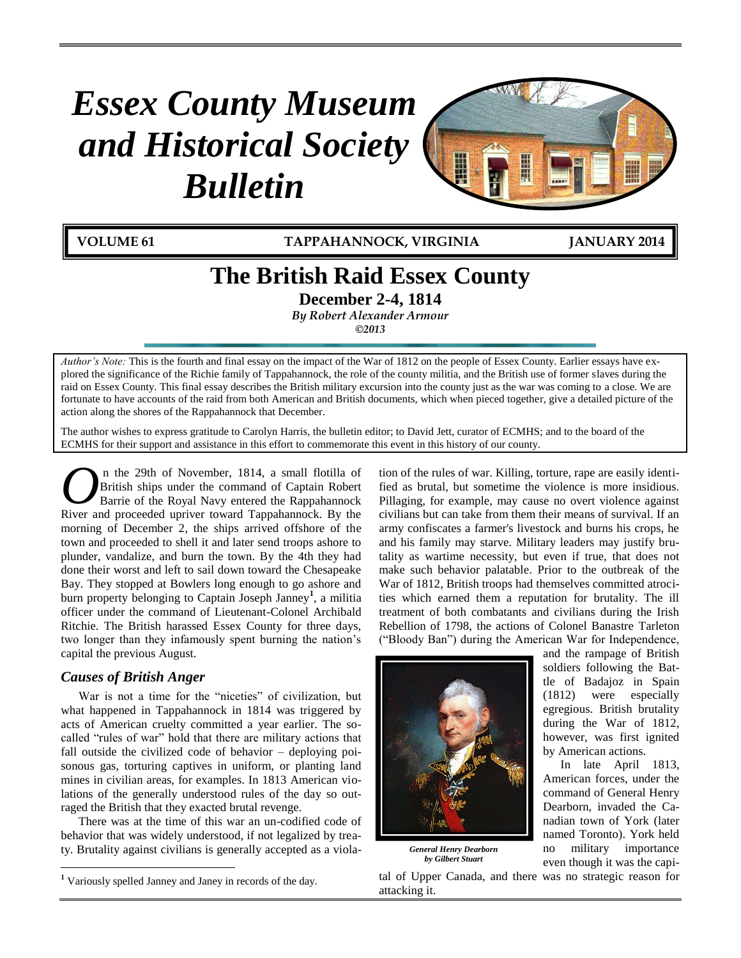# *Essex County Museum and Historical Society Bulletin*



**VOLUME 61 TAPPAHANNOCK, VIRGINIA JANUARY 2014**

# **The British Raid Essex County**

**December 2-4, 1814**

*By Robert Alexander Armour*

*©2013*

*Author's Note:* This is the fourth and final essay on the impact of the War of 1812 on the people of Essex County. Earlier essays have explored the significance of the Richie family of Tappahannock, the role of the county militia, and the British use of former slaves during the raid on Essex County. This final essay describes the British military excursion into the county just as the war was coming to a close. We are fortunate to have accounts of the raid from both American and British documents, which when pieced together, give a detailed picture of the action along the shores of the Rappahannock that December.

The author wishes to express gratitude to Carolyn Harris, the bulletin editor; to David Jett, curator of ECMHS; and to the board of the ECMHS for their support and assistance in this effort to commemorate this event in this history of our county.

n the 29th of November, 1814, a small flotilla of British ships under the command of Captain Robert Barrie of the Royal Navy entered the Rappahannock **C** In the 29th of November, 1814, a small flotilla of British ships under the command of Captain Robert Barrie of the Royal Navy entered the Rappahannock. By the Separate and proceeded upriver toward Tappahannock. By the morning of December 2, the ships arrived offshore of the town and proceeded to shell it and later send troops ashore to plunder, vandalize, and burn the town. By the 4th they had done their worst and left to sail down toward the Chesapeake Bay. They stopped at Bowlers long enough to go ashore and burn property belonging to Captain Joseph Janney**<sup>1</sup>** , a militia officer under the command of Lieutenant-Colonel Archibald Ritchie. The British harassed Essex County for three days, two longer than they infamously spent burning the nation's capital the previous August.

# *Causes of British Anger*

 $\overline{a}$ 

War is not a time for the "niceties" of civilization, but what happened in Tappahannock in 1814 was triggered by acts of American cruelty committed a year earlier. The socalled "rules of war" hold that there are military actions that fall outside the civilized code of behavior – deploying poisonous gas, torturing captives in uniform, or planting land mines in civilian areas, for examples. In 1813 American violations of the generally understood rules of the day so outraged the British that they exacted brutal revenge.

There was at the time of this war an un-codified code of behavior that was widely understood, if not legalized by treaty. Brutality against civilians is generally accepted as a violation of the rules of war. Killing, torture, rape are easily identified as brutal, but sometime the violence is more insidious. Pillaging, for example, may cause no overt violence against civilians but can take from them their means of survival. If an army confiscates a farmer's livestock and burns his crops, he and his family may starve. Military leaders may justify brutality as wartime necessity, but even if true, that does not make such behavior palatable. Prior to the outbreak of the War of 1812, British troops had themselves committed atrocities which earned them a reputation for brutality. The ill treatment of both combatants and civilians during the Irish Rebellion of 1798, the actions of Colonel Banastre Tarleton ("Bloody Ban") during the American War for Independence,



*General Henry Dearborn by Gilbert Stuart*

tal of Upper Canada, and there was no strategic reason for attacking it.

and the rampage of British soldiers following the Battle of Badajoz in Spain (1812) were especially egregious. British brutality during the War of 1812, however, was first ignited by American actions.

In late April 1813, American forces, under the command of General Henry Dearborn, invaded the Canadian town of York (later named Toronto). York held no military importance even though it was the capi-

**<sup>1</sup>** Variously spelled Janney and Janey in records of the day.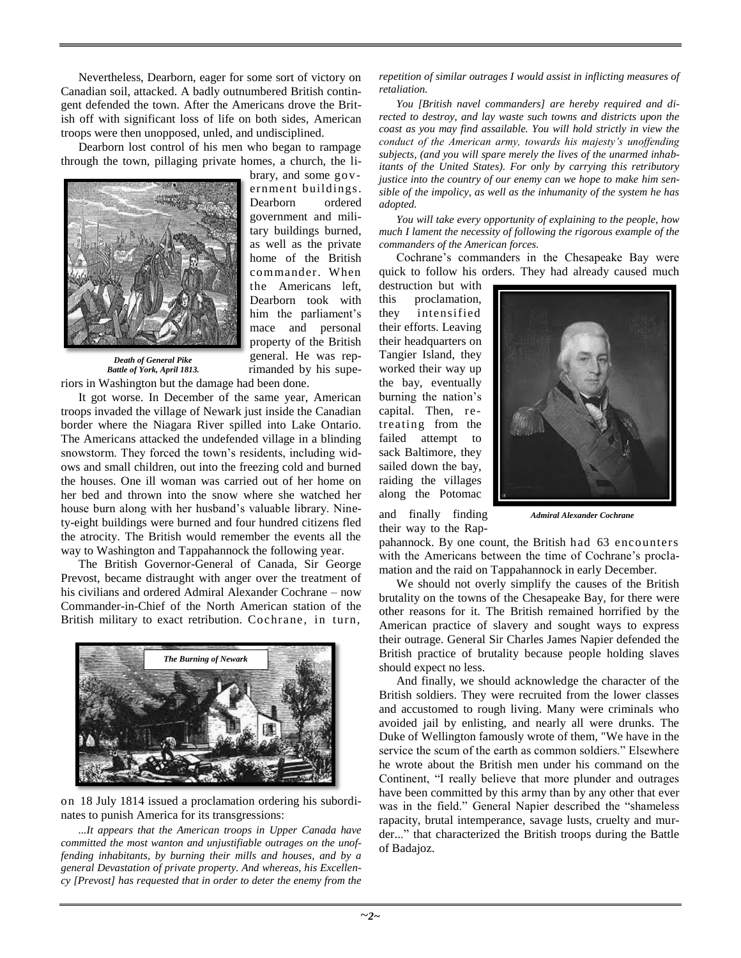Nevertheless, Dearborn, eager for some sort of victory on Canadian soil, attacked. A badly outnumbered British contingent defended the town. After the Americans drove the British off with significant loss of life on both sides, American troops were then unopposed, unled, and undisciplined.

Dearborn lost control of his men who began to rampage through the town, pillaging private homes, a church, the li-



brary, and some government buildings. Dearborn ordered government and military buildings burned, as well as the private home of the British commander. When the Americans left, Dearborn took with him the parliament's mace and personal property of the British general. He was reprimanded by his supe-

*Death of General Pike Battle of York, April 1813.*

riors in Washington but the damage had been done.

It got worse. In December of the same year, American troops invaded the village of Newark just inside the Canadian border where the Niagara River spilled into Lake Ontario. The Americans attacked the undefended village in a blinding snowstorm. They forced the town's residents, including widows and small children, out into the freezing cold and burned the houses. One ill woman was carried out of her home on her bed and thrown into the snow where she watched her house burn along with her husband's valuable library. Ninety-eight buildings were burned and four hundred citizens fled the atrocity. The British would remember the events all the way to Washington and Tappahannock the following year.

The British Governor-General of Canada, Sir George Prevost, became distraught with anger over the treatment of his civilians and ordered Admiral Alexander Cochrane – now Commander-in-Chief of the North American station of the British military to exact retribution. Cochrane, in turn,



on 18 July 1814 issued a proclamation ordering his subordinates to punish America for its transgressions:

*...It appears that the American troops in Upper Canada have committed the most wanton and unjustifiable outrages on the unoffending inhabitants, by burning their mills and houses, and by a general Devastation of private property. And whereas, his Excellency [Prevost] has requested that in order to deter the enemy from the* 

*repetition of similar outrages I would assist in inflicting measures of retaliation.*

*You [British navel commanders] are hereby required and directed to destroy, and lay waste such towns and districts upon the coast as you may find assailable. You will hold strictly in view the conduct of the American army, towards his majesty's unoffending subjects, (and you will spare merely the lives of the unarmed inhabitants of the United States). For only by carrying this retributory justice into the country of our enemy can we hope to make him sensible of the impolicy, as well as the inhumanity of the system he has adopted.*

*You will take every opportunity of explaining to the people, how much I lament the necessity of following the rigorous example of the commanders of the American forces.*

Cochrane's commanders in the Chesapeake Bay were quick to follow his orders. They had already caused much

destruction but with this proclamation, they intensified their efforts. Leaving their headquarters on Tangier Island, they worked their way up the bay, eventually burning the nation's capital. Then, retreating from the failed attempt to sack Baltimore, they sailed down the bay, raiding the villages along the Potomac



and finally finding their way to the Rap*Admiral Alexander Cochrane*

pahannock. By one count, the British had 63 encounters with the Americans between the time of Cochrane's proclamation and the raid on Tappahannock in early December.

We should not overly simplify the causes of the British brutality on the towns of the Chesapeake Bay, for there were other reasons for it. The British remained horrified by the American practice of slavery and sought ways to express their outrage. General Sir Charles James Napier defended the British practice of brutality because people holding slaves should expect no less.

And finally, we should acknowledge the character of the British soldiers. They were recruited from the lower classes and accustomed to rough living. Many were criminals who avoided jail by enlisting, and nearly all were drunks. The Duke of Wellington famously wrote of them, "We have in the service the scum of the earth as common soldiers." Elsewhere he wrote about the British men under his command on the Continent, "I really believe that more plunder and outrages have been committed by this army than by any other that ever was in the field." General Napier described the "shameless rapacity, brutal intemperance, savage lusts, cruelty and murder..." that characterized the British troops during the Battle of Badajoz.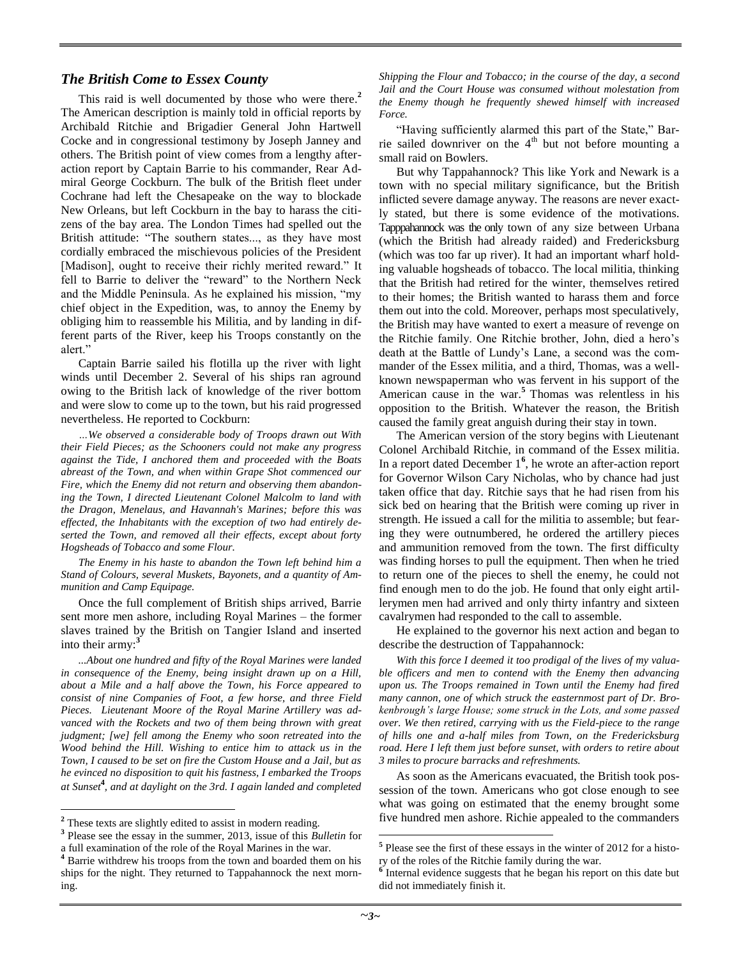## *The British Come to Essex County*

This raid is well documented by those who were there. **2** The American description is mainly told in official reports by Archibald Ritchie and Brigadier General John Hartwell Cocke and in congressional testimony by Joseph Janney and others. The British point of view comes from a lengthy afteraction report by Captain Barrie to his commander, Rear Admiral George Cockburn. The bulk of the British fleet under Cochrane had left the Chesapeake on the way to blockade New Orleans, but left Cockburn in the bay to harass the citizens of the bay area. The London Times had spelled out the British attitude: "The southern states..., as they have most cordially embraced the mischievous policies of the President [Madison], ought to receive their richly merited reward." It fell to Barrie to deliver the "reward" to the Northern Neck and the Middle Peninsula. As he explained his mission, "my chief object in the Expedition, was, to annoy the Enemy by obliging him to reassemble his Militia, and by landing in different parts of the River, keep his Troops constantly on the alert."

Captain Barrie sailed his flotilla up the river with light winds until December 2. Several of his ships ran aground owing to the British lack of knowledge of the river bottom and were slow to come up to the town, but his raid progressed nevertheless. He reported to Cockburn:

*…We observed a considerable body of Troops drawn out With their Field Pieces; as the Schooners could not make any progress against the Tide, I anchored them and proceeded with the Boats abreast of the Town, and when within Grape Shot commenced our Fire, which the Enemy did not return and observing them abandoning the Town, I directed Lieutenant Colonel Malcolm to land with the Dragon, Menelaus, and Havannah's Marines; before this was effected, the Inhabitants with the exception of two had entirely deserted the Town, and removed all their effects, except about forty Hogsheads of Tobacco and some Flour.*

*The Enemy in his haste to abandon the Town left behind him a Stand of Colours, several Muskets, Bayonets, and a quantity of Ammunition and Camp Equipage.*

Once the full complement of British ships arrived, Barrie sent more men ashore, including Royal Marines – the former slaves trained by the British on Tangier Island and inserted into their army:**<sup>3</sup>**

*...About one hundred and fifty of the Royal Marines were landed in consequence of the Enemy, being insight drawn up on a Hill, about a Mile and a half above the Town, his Force appeared to consist of nine Companies of Foot, a few horse, and three Field Pieces. Lieutenant Moore of the Royal Marine Artillery was advanced with the Rockets and two of them being thrown with great judgment; [we] fell among the Enemy who soon retreated into the Wood behind the Hill. Wishing to entice him to attack us in the Town, I caused to be set on fire the Custom House and a Jail, but as he evinced no disposition to quit his fastness, I embarked the Troops at Sunset***<sup>4</sup>** *, and at daylight on the 3rd. I again landed and completed* 

 $\overline{a}$ 

*Shipping the Flour and Tobacco; in the course of the day, a second Jail and the Court House was consumed without molestation from the Enemy though he frequently shewed himself with increased Force.*

"Having sufficiently alarmed this part of the State," Barrie sailed downriver on the  $4<sup>th</sup>$  but not before mounting a small raid on Bowlers.

But why Tappahannock? This like York and Newark is a town with no special military significance, but the British inflicted severe damage anyway. The reasons are never exactly stated, but there is some evidence of the motivations. Tapppahannock was the only town of any size between Urbana (which the British had already raided) and Fredericksburg (which was too far up river). It had an important wharf holding valuable hogsheads of tobacco. The local militia, thinking that the British had retired for the winter, themselves retired to their homes; the British wanted to harass them and force them out into the cold. Moreover, perhaps most speculatively, the British may have wanted to exert a measure of revenge on the Ritchie family. One Ritchie brother, John, died a hero's death at the Battle of Lundy's Lane, a second was the commander of the Essex militia, and a third, Thomas, was a wellknown newspaperman who was fervent in his support of the American cause in the war.**<sup>5</sup>** Thomas was relentless in his opposition to the British. Whatever the reason, the British caused the family great anguish during their stay in town.

The American version of the story begins with Lieutenant Colonel Archibald Ritchie, in command of the Essex militia. In a report dated December 1**<sup>6</sup>** , he wrote an after-action report for Governor Wilson Cary Nicholas, who by chance had just taken office that day. Ritchie says that he had risen from his sick bed on hearing that the British were coming up river in strength. He issued a call for the militia to assemble; but fearing they were outnumbered, he ordered the artillery pieces and ammunition removed from the town. The first difficulty was finding horses to pull the equipment. Then when he tried to return one of the pieces to shell the enemy, he could not find enough men to do the job. He found that only eight artillerymen men had arrived and only thirty infantry and sixteen cavalrymen had responded to the call to assemble.

He explained to the governor his next action and began to describe the destruction of Tappahannock:

*With this force I deemed it too prodigal of the lives of my valuable officers and men to contend with the Enemy then advancing upon us. The Troops remained in Town until the Enemy had fired many cannon, one of which struck the easternmost part of Dr. Brokenbrough's large House; some struck in the Lots, and some passed over. We then retired, carrying with us the Field-piece to the range of hills one and a-half miles from Town, on the Fredericksburg road. Here I left them just before sunset, with orders to retire about 3 miles to procure barracks and refreshments.*

As soon as the Americans evacuated, the British took possession of the town. Americans who got close enough to see what was going on estimated that the enemy brought some five hundred men ashore. Richie appealed to the commanders

 $\overline{a}$ 

**<sup>2</sup>** These texts are slightly edited to assist in modern reading.

**<sup>3</sup>** Please see the essay in the summer, 2013, issue of this *Bulletin* for a full examination of the role of the Royal Marines in the war.

**<sup>4</sup>** Barrie withdrew his troops from the town and boarded them on his ships for the night. They returned to Tappahannock the next morning.

<sup>&</sup>lt;sup>5</sup> Please see the first of these essays in the winter of 2012 for a history of the roles of the Ritchie family during the war. **6** Internal evidence suggests that he began his report on this date but

did not immediately finish it.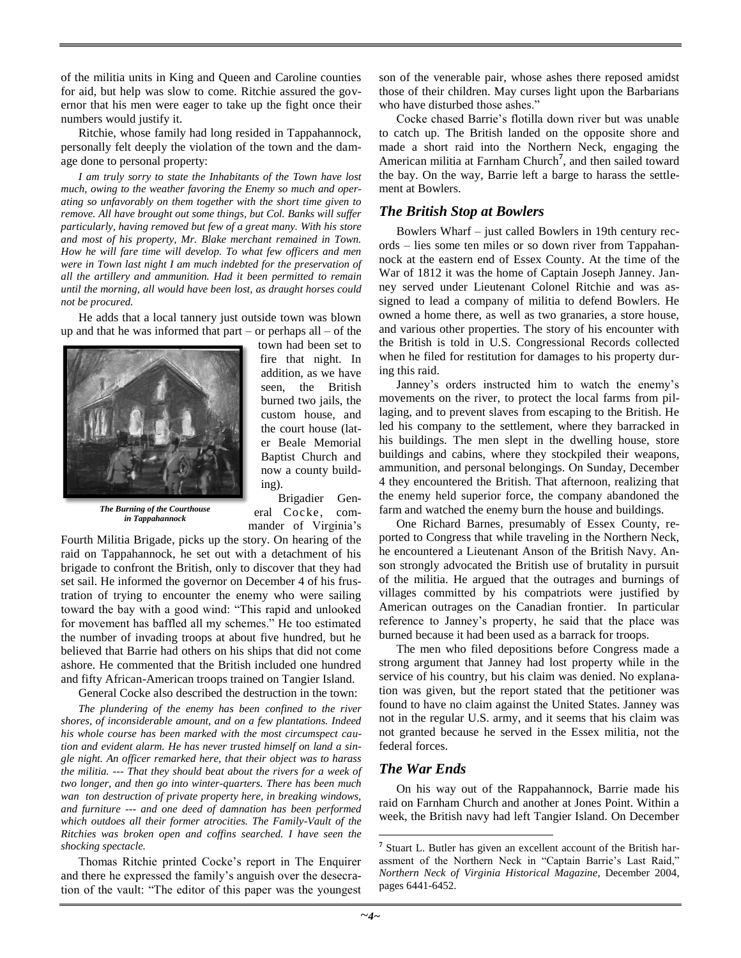of the militia units in King and Queen and Caroline counties for aid, but help was slow to come. Ritchie assured the governor that his men were eager to take up the fight once their numbers would justify it.

Ritchie, whose family had long resided in Tappahannock, personally felt deeply the violation of the town and the damage done to personal property:

*I am truly sorry to state the Inhabitants of the Town have lost much, owing to the weather favoring the Enemy so much and operating so unfavorably on them together with the short time given to remove. All have brought out some things, but Col. Banks will suffer particularly, having removed but few of a great many. With his store and most of his property, Mr. Blake merchant remained in Town. How he will fare time will develop. To what few officers and men were in Town last night I am much indebted for the preservation of all the artillery and ammunition. Had it been permitted to remain until the morning, all would have been lost, as draught horses could not be procured.*

He adds that a local tannery just outside town was blown up and that he was informed that part – or perhaps all – of the



*The Burning of the Courthouse in Tappahannock*

town had been set to fire that night. In addition, as we have seen, the British burned two jails, the custom house, and the court house (later Beale Memorial Baptist Church and now a county building).

Brigadier General Cocke, commander of Virginia's

Fourth Militia Brigade, picks up the story. On hearing of the raid on Tappahannock, he set out with a detachment of his brigade to confront the British, only to discover that they had set sail. He informed the governor on December 4 of his frustration of trying to encounter the enemy who were sailing toward the bay with a good wind: "This rapid and unlooked for movement has baffled all my schemes." He too estimated the number of invading troops at about five hundred, but he believed that Barrie had others on his ships that did not come ashore. He commented that the British included one hundred and fifty African-American troops trained on Tangier Island.

General Cocke also described the destruction in the town:

*The plundering of the enemy has been confined to the river shores, of inconsiderable amount, and on a few plantations. Indeed his whole course has been marked with the most circumspect caution and evident alarm. He has never trusted himself on land a single night. An officer remarked here, that their object was to harass the militia. --- That they should beat about the rivers for a week of two longer, and then go into winter-quarters. There has been much wan ton destruction of private property here, in breaking windows, and furniture --- and one deed of damnation has been performed which outdoes all their former atrocities. The Family-Vault of the Ritchies was broken open and coffins searched. I have seen the shocking spectacle.*

Thomas Ritchie printed Cocke's report in The Enquirer and there he expressed the family's anguish over the desecration of the vault: "The editor of this paper was the youngest

son of the venerable pair, whose ashes there reposed amidst those of their children. May curses light upon the Barbarians who have disturbed those ashes."

Cocke chased Barrie's flotilla down river but was unable to catch up. The British landed on the opposite shore and made a short raid into the Northern Neck, engaging the American militia at Farnham Church**<sup>7</sup>** , and then sailed toward the bay. On the way, Barrie left a barge to harass the settlement at Bowlers.

#### *The British Stop at Bowlers*

Bowlers Wharf – just called Bowlers in 19th century records – lies some ten miles or so down river from Tappahannock at the eastern end of Essex County. At the time of the War of 1812 it was the home of Captain Joseph Janney. Janney served under Lieutenant Colonel Ritchie and was assigned to lead a company of militia to defend Bowlers. He owned a home there, as well as two granaries, a store house, and various other properties. The story of his encounter with the British is told in U.S. Congressional Records collected when he filed for restitution for damages to his property during this raid.

Janney's orders instructed him to watch the enemy's movements on the river, to protect the local farms from pillaging, and to prevent slaves from escaping to the British. He led his company to the settlement, where they barracked in his buildings. The men slept in the dwelling house, store buildings and cabins, where they stockpiled their weapons, ammunition, and personal belongings. On Sunday, December 4 they encountered the British. That afternoon, realizing that the enemy held superior force, the company abandoned the farm and watched the enemy burn the house and buildings.

One Richard Barnes, presumably of Essex County, reported to Congress that while traveling in the Northern Neck, he encountered a Lieutenant Anson of the British Navy. Anson strongly advocated the British use of brutality in pursuit of the militia. He argued that the outrages and burnings of villages committed by his compatriots were justified by American outrages on the Canadian frontier. In particular reference to Janney's property, he said that the place was burned because it had been used as a barrack for troops.

The men who filed depositions before Congress made a strong argument that Janney had lost property while in the service of his country, but his claim was denied. No explanation was given, but the report stated that the petitioner was found to have no claim against the United States. Janney was not in the regular U.S. army, and it seems that his claim was not granted because he served in the Essex militia, not the federal forces.

## *The War Ends*

On his way out of the Rappahannock, Barrie made his raid on Farnham Church and another at Jones Point. Within a week, the British navy had left Tangier Island. On December

 $\overline{a}$ 

<sup>&</sup>lt;sup>7</sup> Stuart L. Butler has given an excellent account of the British harassment of the Northern Neck in "Captain Barrie's Last Raid," *Northern Neck of Virginia Historical Magazine*, December 2004, pages 6441-6452.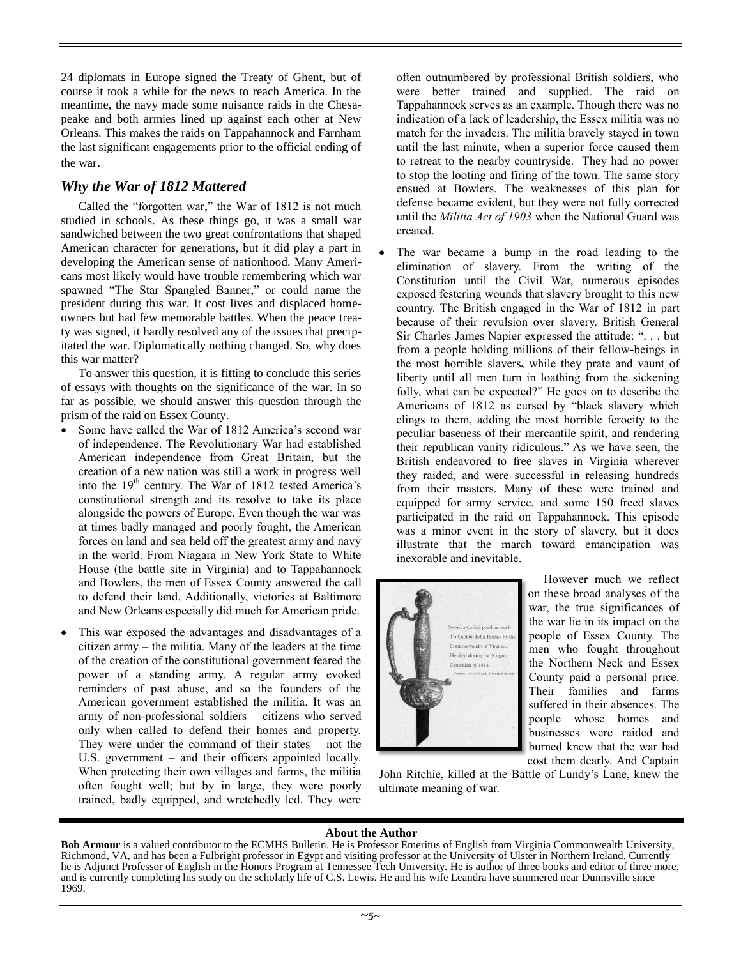24 diplomats in Europe signed the Treaty of Ghent, but of course it took a while for the news to reach America. In the meantime, the navy made some nuisance raids in the Chesapeake and both armies lined up against each other at New Orleans. This makes the raids on Tappahannock and Farnham the last significant engagements prior to the official ending of the war.

# *Why the War of 1812 Mattered*

Called the "forgotten war," the War of 1812 is not much studied in schools. As these things go, it was a small war sandwiched between the two great confrontations that shaped American character for generations, but it did play a part in developing the American sense of nationhood. Many Americans most likely would have trouble remembering which war spawned "The Star Spangled Banner," or could name the president during this war. It cost lives and displaced homeowners but had few memorable battles. When the peace treaty was signed, it hardly resolved any of the issues that precipitated the war. Diplomatically nothing changed. So, why does this war matter?

To answer this question, it is fitting to conclude this series of essays with thoughts on the significance of the war. In so far as possible, we should answer this question through the prism of the raid on Essex County.

- Some have called the War of 1812 America's second war of independence. The Revolutionary War had established American independence from Great Britain, but the creation of a new nation was still a work in progress well into the 19<sup>th</sup> century. The War of 1812 tested America's constitutional strength and its resolve to take its place alongside the powers of Europe. Even though the war was at times badly managed and poorly fought, the American forces on land and sea held off the greatest army and navy in the world. From Niagara in New York State to White House (the battle site in Virginia) and to Tappahannock and Bowlers, the men of Essex County answered the call to defend their land. Additionally, victories at Baltimore and New Orleans especially did much for American pride.
- This war exposed the advantages and disadvantages of a citizen army – the militia. Many of the leaders at the time of the creation of the constitutional government feared the power of a standing army. A regular army evoked reminders of past abuse, and so the founders of the American government established the militia. It was an army of non-professional soldiers – citizens who served only when called to defend their homes and property. They were under the command of their states – not the U.S. government – and their officers appointed locally. When protecting their own villages and farms, the militia often fought well; but by in large, they were poorly trained, badly equipped, and wretchedly led. They were

often outnumbered by professional British soldiers, who were better trained and supplied. The raid on Tappahannock serves as an example. Though there was no indication of a lack of leadership, the Essex militia was no match for the invaders. The militia bravely stayed in town until the last minute, when a superior force caused them to retreat to the nearby countryside. They had no power to stop the looting and firing of the town. The same story ensued at Bowlers. The weaknesses of this plan for defense became evident, but they were not fully corrected until the *Militia Act of 1903* when the National Guard was created.

 The war became a bump in the road leading to the elimination of slavery. From the writing of the Constitution until the Civil War, numerous episodes exposed festering wounds that slavery brought to this new country. The British engaged in the War of 1812 in part because of their revulsion over slavery. British General Sir Charles James Napier expressed the attitude: ". . . but from a people holding millions of their fellow-beings in the most horrible slavers**,** while they prate and vaunt of liberty until all men turn in loathing from the sickening folly, what can be expected?" He goes on to describe the Americans of 1812 as cursed by "black slavery which clings to them, adding the most horrible ferocity to the peculiar baseness of their mercantile spirit, and rendering their republican vanity ridiculous." As we have seen, the British endeavored to free slaves in Virginia wherever they raided, and were successful in releasing hundreds from their masters. Many of these were trained and equipped for army service, and some 150 freed slaves participated in the raid on Tappahannock. This episode was a minor event in the story of slavery, but it does illustrate that the march toward emancipation was inexorable and inevitable.



However much we reflect on these broad analyses of the war, the true significances of the war lie in its impact on the people of Essex County. The men who fought throughout the Northern Neck and Essex County paid a personal price. Their families and farms suffered in their absences. The people whose homes and businesses were raided and burned knew that the war had cost them dearly. And Captain

John Ritchie, killed at the Battle of Lundy's Lane, knew the ultimate meaning of war.

## **About the Author**

**Bob Armour** is a valued contributor to the ECMHS Bulletin. He is Professor Emeritus of English from Virginia Commonwealth University, Richmond, VA, and has been a Fulbright professor in Egypt and visiting professor at the University of Ulster in Northern Ireland. Currently he is Adjunct Professor of English in the Honors Program at Tennessee Tech University. He is author of three books and editor of three more, and is currently completing his study on the scholarly life of C.S. Lewis. He and his wife Leandra have summered near Dunnsville since 1969.